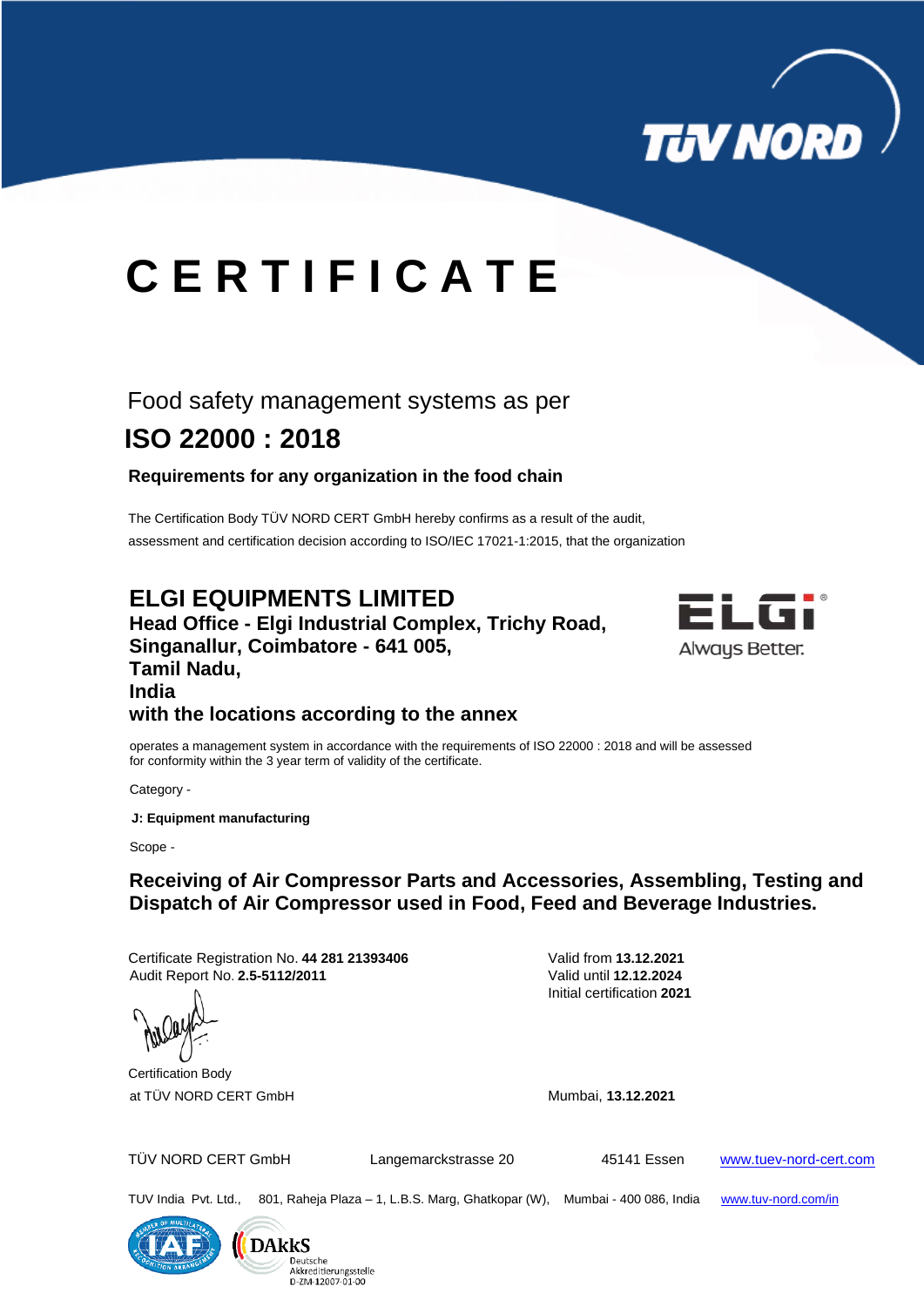

# **C E R T I F I C A T E**

# Food safety management systems as per  **ISO 22000 : 2018**

#### **Requirements for any organization in the food chain**

The Certification Body TÜV NORD CERT GmbH hereby confirms as a result of the audit, assessment and certification decision according to ISO/IEC 17021-1:2015, that the organization

## **ELGI EQUIPMENTS LIMITED**

**Head Office - Elgi Industrial Complex, Trichy Road, Singanallur, Coimbatore - 641 005, Tamil Nadu, India with the locations according to the annex**



 operates a management system in accordance with the requirements of ISO 22000 : 2018 and will be assessed for conformity within the 3 year term of validity of the certificate.

Category -

 **J: Equipment manufacturing**

Scope -

## **Receiving of Air Compressor Parts and Accessories, Assembling, Testing and Dispatch of Air Compressor used in Food, Feed and Beverage Industries.**

Certificate Registration No. **44 281 21393406** Valid from **13.12.2021** Audit Report No. **2.5-5112/2011** Valid until **12.12.2024**

Initial certification **2021**





TUV India Pvt. Ltd., 801, Raheja Plaza – 1, L.B.S. Marg, Ghatkopar (W), Mumbai - 400 086, India www.tuv-nord.com/in



**DAkkS** Akkreditierungsstelle D-ZM-12007-01-00